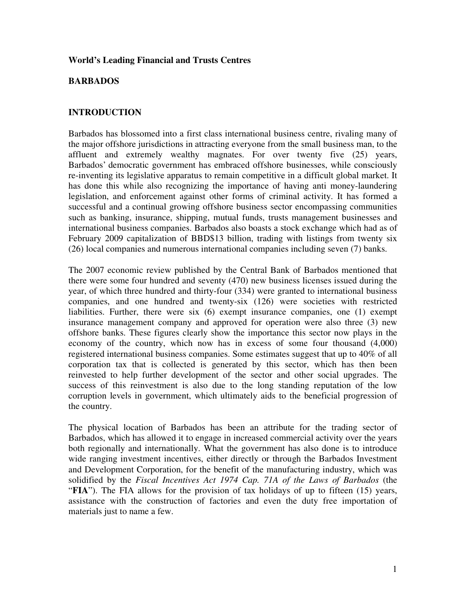#### **World's Leading Financial and Trusts Centres**

### **BARBADOS**

## **INTRODUCTION**

Barbados has blossomed into a first class international business centre, rivaling many of the major offshore jurisdictions in attracting everyone from the small business man, to the affluent and extremely wealthy magnates. For over twenty five (25) years, Barbados' democratic government has embraced offshore businesses, while consciously re-inventing its legislative apparatus to remain competitive in a difficult global market. It has done this while also recognizing the importance of having anti money-laundering legislation, and enforcement against other forms of criminal activity. It has formed a successful and a continual growing offshore business sector encompassing communities such as banking, insurance, shipping, mutual funds, trusts management businesses and international business companies. Barbados also boasts a stock exchange which had as of February 2009 capitalization of BBD\$13 billion, trading with listings from twenty six (26) local companies and numerous international companies including seven (7) banks.

The 2007 economic review published by the Central Bank of Barbados mentioned that there were some four hundred and seventy (470) new business licenses issued during the year, of which three hundred and thirty-four (334) were granted to international business companies, and one hundred and twenty-six (126) were societies with restricted liabilities. Further, there were six (6) exempt insurance companies, one (1) exempt insurance management company and approved for operation were also three (3) new offshore banks. These figures clearly show the importance this sector now plays in the economy of the country, which now has in excess of some four thousand (4,000) registered international business companies. Some estimates suggest that up to 40% of all corporation tax that is collected is generated by this sector, which has then been reinvested to help further development of the sector and other social upgrades. The success of this reinvestment is also due to the long standing reputation of the low corruption levels in government, which ultimately aids to the beneficial progression of the country.

The physical location of Barbados has been an attribute for the trading sector of Barbados, which has allowed it to engage in increased commercial activity over the years both regionally and internationally. What the government has also done is to introduce wide ranging investment incentives, either directly or through the Barbados Investment and Development Corporation, for the benefit of the manufacturing industry, which was solidified by the *Fiscal Incentives Act 1974 Cap. 71A of the Laws of Barbados* (the "**FIA**"). The FIA allows for the provision of tax holidays of up to fifteen (15) years, assistance with the construction of factories and even the duty free importation of materials just to name a few.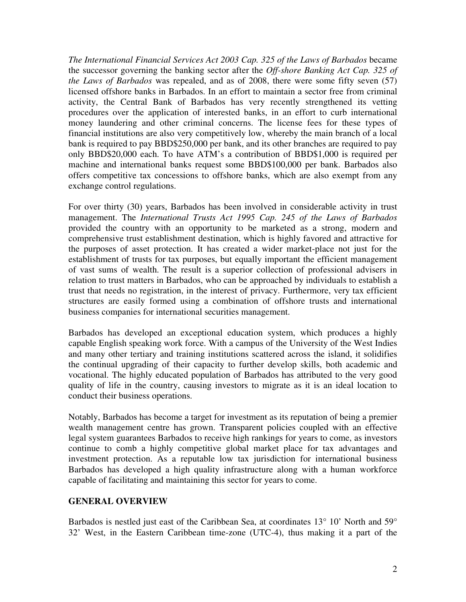*The International Financial Services Act 2003 Cap. 325 of the Laws of Barbados* became the successor governing the banking sector after the *Off-shore Banking Act Cap. 325 of the Laws of Barbados* was repealed, and as of 2008, there were some fifty seven (57) licensed offshore banks in Barbados. In an effort to maintain a sector free from criminal activity, the Central Bank of Barbados has very recently strengthened its vetting procedures over the application of interested banks, in an effort to curb international money laundering and other criminal concerns. The license fees for these types of financial institutions are also very competitively low, whereby the main branch of a local bank is required to pay BBD\$250,000 per bank, and its other branches are required to pay only BBD\$20,000 each. To have ATM's a contribution of BBD\$1,000 is required per machine and international banks request some BBD\$100,000 per bank. Barbados also offers competitive tax concessions to offshore banks, which are also exempt from any exchange control regulations.

For over thirty (30) years, Barbados has been involved in considerable activity in trust management. The *International Trusts Act 1995 Cap. 245 of the Laws of Barbados*  provided the country with an opportunity to be marketed as a strong, modern and comprehensive trust establishment destination, which is highly favored and attractive for the purposes of asset protection. It has created a wider market-place not just for the establishment of trusts for tax purposes, but equally important the efficient management of vast sums of wealth. The result is a superior collection of professional advisers in relation to trust matters in Barbados, who can be approached by individuals to establish a trust that needs no registration, in the interest of privacy. Furthermore, very tax efficient structures are easily formed using a combination of offshore trusts and international business companies for international securities management.

Barbados has developed an exceptional education system, which produces a highly capable English speaking work force. With a campus of the University of the West Indies and many other tertiary and training institutions scattered across the island, it solidifies the continual upgrading of their capacity to further develop skills, both academic and vocational. The highly educated population of Barbados has attributed to the very good quality of life in the country, causing investors to migrate as it is an ideal location to conduct their business operations.

Notably, Barbados has become a target for investment as its reputation of being a premier wealth management centre has grown. Transparent policies coupled with an effective legal system guarantees Barbados to receive high rankings for years to come, as investors continue to comb a highly competitive global market place for tax advantages and investment protection. As a reputable low tax jurisdiction for international business Barbados has developed a high quality infrastructure along with a human workforce capable of facilitating and maintaining this sector for years to come.

#### **GENERAL OVERVIEW**

Barbados is nestled just east of the Caribbean Sea, at coordinates 13° 10' North and 59° 32' West, in the Eastern Caribbean time-zone (UTC-4), thus making it a part of the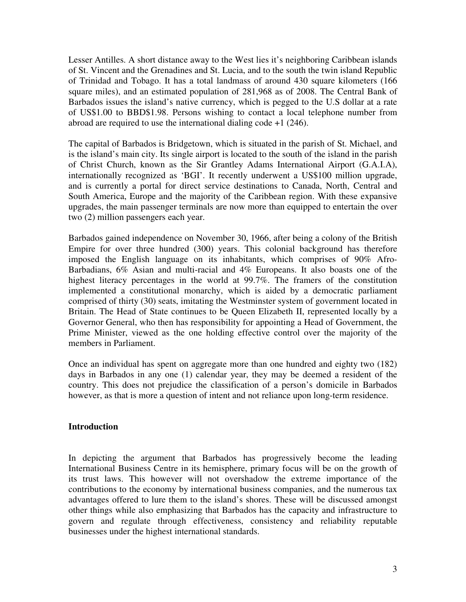Lesser Antilles. A short distance away to the West lies it's neighboring Caribbean islands of St. Vincent and the Grenadines and St. Lucia, and to the south the twin island Republic of Trinidad and Tobago. It has a total landmass of around 430 square kilometers (166 square miles), and an estimated population of 281,968 as of 2008. The Central Bank of Barbados issues the island's native currency, which is pegged to the U.S dollar at a rate of US\$1.00 to BBD\$1.98. Persons wishing to contact a local telephone number from abroad are required to use the international dialing code  $+1$  (246).

The capital of Barbados is Bridgetown, which is situated in the parish of St. Michael, and is the island's main city. Its single airport is located to the south of the island in the parish of Christ Church, known as the Sir Grantley Adams International Airport (G.A.I.A), internationally recognized as 'BGI'. It recently underwent a US\$100 million upgrade, and is currently a portal for direct service destinations to Canada, North, Central and South America, Europe and the majority of the Caribbean region. With these expansive upgrades, the main passenger terminals are now more than equipped to entertain the over two (2) million passengers each year.

Barbados gained independence on November 30, 1966, after being a colony of the British Empire for over three hundred (300) years. This colonial background has therefore imposed the English language on its inhabitants, which comprises of 90% Afro-Barbadians, 6% Asian and multi-racial and 4% Europeans. It also boasts one of the highest literacy percentages in the world at 99.7%. The framers of the constitution implemented a constitutional monarchy, which is aided by a democratic parliament comprised of thirty (30) seats, imitating the Westminster system of government located in Britain. The Head of State continues to be Queen Elizabeth II, represented locally by a Governor General, who then has responsibility for appointing a Head of Government, the Prime Minister, viewed as the one holding effective control over the majority of the members in Parliament.

Once an individual has spent on aggregate more than one hundred and eighty two (182) days in Barbados in any one (1) calendar year, they may be deemed a resident of the country. This does not prejudice the classification of a person's domicile in Barbados however, as that is more a question of intent and not reliance upon long-term residence.

# **Introduction**

In depicting the argument that Barbados has progressively become the leading International Business Centre in its hemisphere, primary focus will be on the growth of its trust laws. This however will not overshadow the extreme importance of the contributions to the economy by international business companies, and the numerous tax advantages offered to lure them to the island's shores. These will be discussed amongst other things while also emphasizing that Barbados has the capacity and infrastructure to govern and regulate through effectiveness, consistency and reliability reputable businesses under the highest international standards.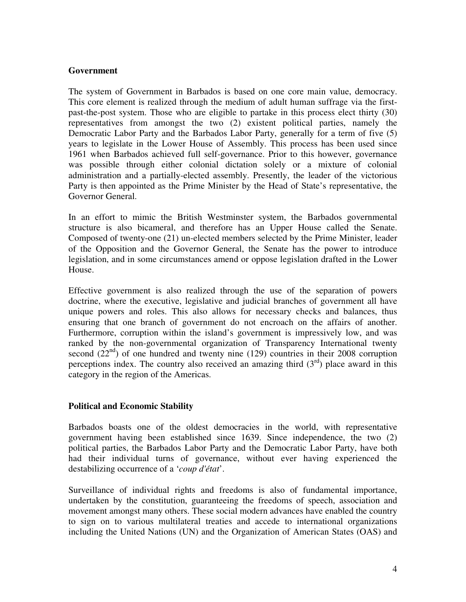### **Government**

The system of Government in Barbados is based on one core main value, democracy. This core element is realized through the medium of adult human suffrage via the firstpast-the-post system. Those who are eligible to partake in this process elect thirty (30) representatives from amongst the two (2) existent political parties, namely the Democratic Labor Party and the Barbados Labor Party, generally for a term of five (5) years to legislate in the Lower House of Assembly. This process has been used since 1961 when Barbados achieved full self-governance. Prior to this however, governance was possible through either colonial dictation solely or a mixture of colonial administration and a partially-elected assembly. Presently, the leader of the victorious Party is then appointed as the Prime Minister by the Head of State's representative, the Governor General.

In an effort to mimic the British Westminster system, the Barbados governmental structure is also bicameral, and therefore has an Upper House called the Senate. Composed of twenty-one (21) un-elected members selected by the Prime Minister, leader of the Opposition and the Governor General, the Senate has the power to introduce legislation, and in some circumstances amend or oppose legislation drafted in the Lower House.

Effective government is also realized through the use of the separation of powers doctrine, where the executive, legislative and judicial branches of government all have unique powers and roles. This also allows for necessary checks and balances, thus ensuring that one branch of government do not encroach on the affairs of another. Furthermore, corruption within the island's government is impressively low, and was ranked by the non-governmental organization of Transparency International twenty second  $(22<sup>nd</sup>)$  of one hundred and twenty nine (129) countries in their 2008 corruption perceptions index. The country also received an amazing third  $(3<sup>rd</sup>)$  place award in this category in the region of the Americas.

# **Political and Economic Stability**

Barbados boasts one of the oldest democracies in the world, with representative government having been established since 1639. Since independence, the two (2) political parties, the Barbados Labor Party and the Democratic Labor Party, have both had their individual turns of governance, without ever having experienced the destabilizing occurrence of a '*coup d'état*'.

Surveillance of individual rights and freedoms is also of fundamental importance, undertaken by the constitution, guaranteeing the freedoms of speech, association and movement amongst many others. These social modern advances have enabled the country to sign on to various multilateral treaties and accede to international organizations including the United Nations (UN) and the Organization of American States (OAS) and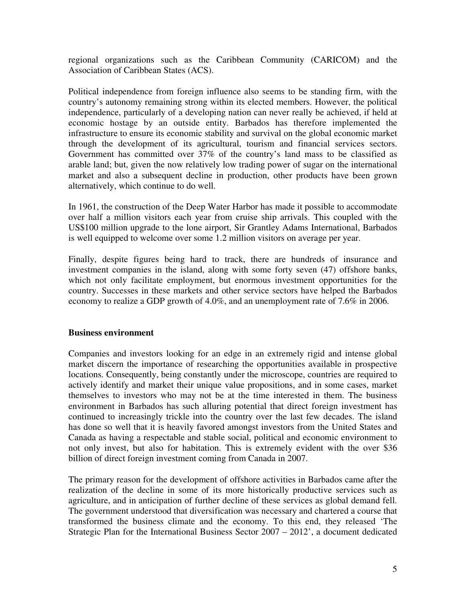regional organizations such as the Caribbean Community (CARICOM) and the Association of Caribbean States (ACS).

Political independence from foreign influence also seems to be standing firm, with the country's autonomy remaining strong within its elected members. However, the political independence, particularly of a developing nation can never really be achieved, if held at economic hostage by an outside entity. Barbados has therefore implemented the infrastructure to ensure its economic stability and survival on the global economic market through the development of its agricultural, tourism and financial services sectors. Government has committed over 37% of the country's land mass to be classified as arable land; but, given the now relatively low trading power of sugar on the international market and also a subsequent decline in production, other products have been grown alternatively, which continue to do well.

In 1961, the construction of the Deep Water Harbor has made it possible to accommodate over half a million visitors each year from cruise ship arrivals. This coupled with the US\$100 million upgrade to the lone airport, Sir Grantley Adams International, Barbados is well equipped to welcome over some 1.2 million visitors on average per year.

Finally, despite figures being hard to track, there are hundreds of insurance and investment companies in the island, along with some forty seven (47) offshore banks, which not only facilitate employment, but enormous investment opportunities for the country. Successes in these markets and other service sectors have helped the Barbados economy to realize a GDP growth of 4.0%, and an unemployment rate of 7.6% in 2006.

#### **Business environment**

Companies and investors looking for an edge in an extremely rigid and intense global market discern the importance of researching the opportunities available in prospective locations. Consequently, being constantly under the microscope, countries are required to actively identify and market their unique value propositions, and in some cases, market themselves to investors who may not be at the time interested in them. The business environment in Barbados has such alluring potential that direct foreign investment has continued to increasingly trickle into the country over the last few decades. The island has done so well that it is heavily favored amongst investors from the United States and Canada as having a respectable and stable social, political and economic environment to not only invest, but also for habitation. This is extremely evident with the over \$36 billion of direct foreign investment coming from Canada in 2007.

The primary reason for the development of offshore activities in Barbados came after the realization of the decline in some of its more historically productive services such as agriculture, and in anticipation of further decline of these services as global demand fell. The government understood that diversification was necessary and chartered a course that transformed the business climate and the economy. To this end, they released 'The Strategic Plan for the International Business Sector 2007 – 2012', a document dedicated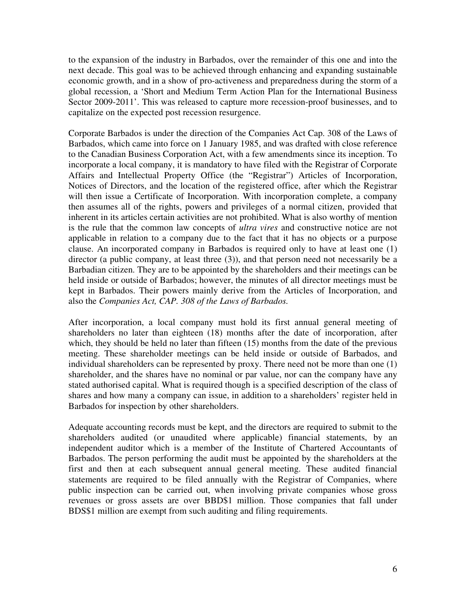to the expansion of the industry in Barbados, over the remainder of this one and into the next decade. This goal was to be achieved through enhancing and expanding sustainable economic growth, and in a show of pro-activeness and preparedness during the storm of a global recession, a 'Short and Medium Term Action Plan for the International Business Sector 2009-2011'. This was released to capture more recession-proof businesses, and to capitalize on the expected post recession resurgence.

Corporate Barbados is under the direction of the Companies Act Cap. 308 of the Laws of Barbados, which came into force on 1 January 1985, and was drafted with close reference to the Canadian Business Corporation Act, with a few amendments since its inception. To incorporate a local company, it is mandatory to have filed with the Registrar of Corporate Affairs and Intellectual Property Office (the "Registrar") Articles of Incorporation, Notices of Directors, and the location of the registered office, after which the Registrar will then issue a Certificate of Incorporation. With incorporation complete, a company then assumes all of the rights, powers and privileges of a normal citizen, provided that inherent in its articles certain activities are not prohibited. What is also worthy of mention is the rule that the common law concepts of *ultra vires* and constructive notice are not applicable in relation to a company due to the fact that it has no objects or a purpose clause. An incorporated company in Barbados is required only to have at least one (1) director (a public company, at least three (3)), and that person need not necessarily be a Barbadian citizen. They are to be appointed by the shareholders and their meetings can be held inside or outside of Barbados; however, the minutes of all director meetings must be kept in Barbados. Their powers mainly derive from the Articles of Incorporation, and also the *Companies Act, CAP. 308 of the Laws of Barbados.*

After incorporation, a local company must hold its first annual general meeting of shareholders no later than eighteen (18) months after the date of incorporation, after which, they should be held no later than fifteen (15) months from the date of the previous meeting. These shareholder meetings can be held inside or outside of Barbados, and individual shareholders can be represented by proxy. There need not be more than one (1) shareholder, and the shares have no nominal or par value, nor can the company have any stated authorised capital. What is required though is a specified description of the class of shares and how many a company can issue, in addition to a shareholders' register held in Barbados for inspection by other shareholders.

Adequate accounting records must be kept, and the directors are required to submit to the shareholders audited (or unaudited where applicable) financial statements, by an independent auditor which is a member of the Institute of Chartered Accountants of Barbados. The person performing the audit must be appointed by the shareholders at the first and then at each subsequent annual general meeting. These audited financial statements are required to be filed annually with the Registrar of Companies, where public inspection can be carried out, when involving private companies whose gross revenues or gross assets are over BBD\$1 million. Those companies that fall under BDS\$1 million are exempt from such auditing and filing requirements.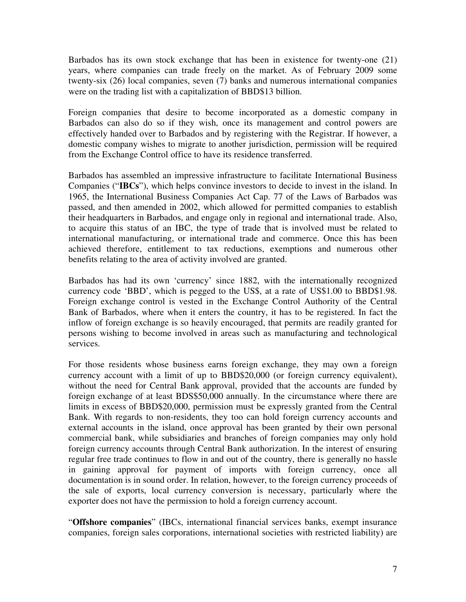Barbados has its own stock exchange that has been in existence for twenty-one (21) years, where companies can trade freely on the market. As of February 2009 some twenty-six (26) local companies, seven (7) banks and numerous international companies were on the trading list with a capitalization of BBD\$13 billion.

Foreign companies that desire to become incorporated as a domestic company in Barbados can also do so if they wish, once its management and control powers are effectively handed over to Barbados and by registering with the Registrar. If however, a domestic company wishes to migrate to another jurisdiction, permission will be required from the Exchange Control office to have its residence transferred.

Barbados has assembled an impressive infrastructure to facilitate International Business Companies ("**IBCs**"), which helps convince investors to decide to invest in the island. In 1965, the International Business Companies Act Cap. 77 of the Laws of Barbados was passed, and then amended in 2002, which allowed for permitted companies to establish their headquarters in Barbados, and engage only in regional and international trade. Also, to acquire this status of an IBC, the type of trade that is involved must be related to international manufacturing, or international trade and commerce. Once this has been achieved therefore, entitlement to tax reductions, exemptions and numerous other benefits relating to the area of activity involved are granted.

Barbados has had its own 'currency' since 1882, with the internationally recognized currency code 'BBD', which is pegged to the US\$, at a rate of US\$1.00 to BBD\$1.98. Foreign exchange control is vested in the Exchange Control Authority of the Central Bank of Barbados, where when it enters the country, it has to be registered. In fact the inflow of foreign exchange is so heavily encouraged, that permits are readily granted for persons wishing to become involved in areas such as manufacturing and technological services.

For those residents whose business earns foreign exchange, they may own a foreign currency account with a limit of up to BBD\$20,000 (or foreign currency equivalent), without the need for Central Bank approval, provided that the accounts are funded by foreign exchange of at least BDS\$50,000 annually. In the circumstance where there are limits in excess of BBD\$20,000, permission must be expressly granted from the Central Bank. With regards to non-residents, they too can hold foreign currency accounts and external accounts in the island, once approval has been granted by their own personal commercial bank, while subsidiaries and branches of foreign companies may only hold foreign currency accounts through Central Bank authorization. In the interest of ensuring regular free trade continues to flow in and out of the country, there is generally no hassle in gaining approval for payment of imports with foreign currency, once all documentation is in sound order. In relation, however, to the foreign currency proceeds of the sale of exports, local currency conversion is necessary, particularly where the exporter does not have the permission to hold a foreign currency account.

"**Offshore companies**" (IBCs, international financial services banks, exempt insurance companies, foreign sales corporations, international societies with restricted liability) are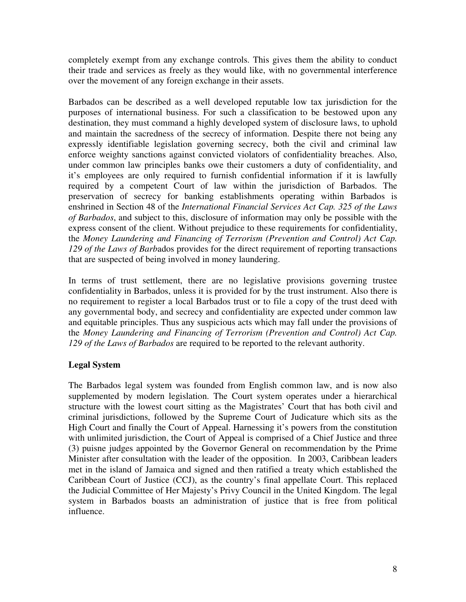completely exempt from any exchange controls. This gives them the ability to conduct their trade and services as freely as they would like, with no governmental interference over the movement of any foreign exchange in their assets.

Barbados can be described as a well developed reputable low tax jurisdiction for the purposes of international business. For such a classification to be bestowed upon any destination, they must command a highly developed system of disclosure laws, to uphold and maintain the sacredness of the secrecy of information. Despite there not being any expressly identifiable legislation governing secrecy, both the civil and criminal law enforce weighty sanctions against convicted violators of confidentiality breaches. Also, under common law principles banks owe their customers a duty of confidentiality, and it's employees are only required to furnish confidential information if it is lawfully required by a competent Court of law within the jurisdiction of Barbados. The preservation of secrecy for banking establishments operating within Barbados is enshrined in Section 48 of the *International Financial Services Act Cap. 325 of the Laws of Barbados*, and subject to this, disclosure of information may only be possible with the express consent of the client. Without prejudice to these requirements for confidentiality, the *Money Laundering and Financing of Terrorism (Prevention and Control) Act Cap. 129 of the Laws of Barb*ados provides for the direct requirement of reporting transactions that are suspected of being involved in money laundering.

In terms of trust settlement, there are no legislative provisions governing trustee confidentiality in Barbados, unless it is provided for by the trust instrument. Also there is no requirement to register a local Barbados trust or to file a copy of the trust deed with any governmental body, and secrecy and confidentiality are expected under common law and equitable principles. Thus any suspicious acts which may fall under the provisions of the *Money Laundering and Financing of Terrorism (Prevention and Control) Act Cap. 129 of the Laws of Barbados* are required to be reported to the relevant authority.

# **Legal System**

The Barbados legal system was founded from English common law, and is now also supplemented by modern legislation. The Court system operates under a hierarchical structure with the lowest court sitting as the Magistrates' Court that has both civil and criminal jurisdictions, followed by the Supreme Court of Judicature which sits as the High Court and finally the Court of Appeal. Harnessing it's powers from the constitution with unlimited jurisdiction, the Court of Appeal is comprised of a Chief Justice and three (3) puisne judges appointed by the Governor General on recommendation by the Prime Minister after consultation with the leader of the opposition. In 2003, Caribbean leaders met in the island of Jamaica and signed and then ratified a treaty which established the Caribbean Court of Justice (CCJ), as the country's final appellate Court. This replaced the Judicial Committee of Her Majesty's Privy Council in the United Kingdom. The legal system in Barbados boasts an administration of justice that is free from political influence.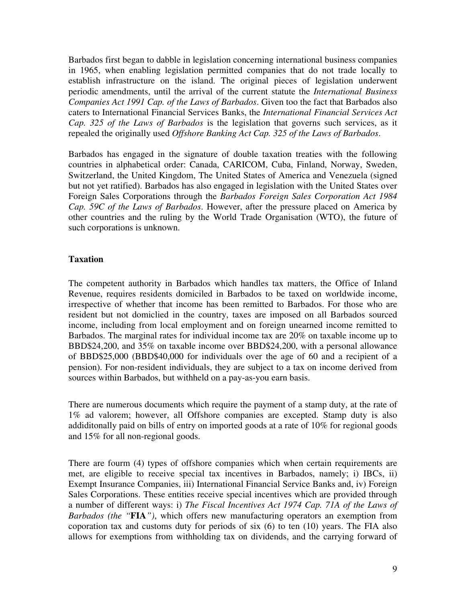Barbados first began to dabble in legislation concerning international business companies in 1965, when enabling legislation permitted companies that do not trade locally to establish infrastructure on the island. The original pieces of legislation underwent periodic amendments, until the arrival of the current statute the *International Business Companies Act 1991 Cap. of the Laws of Barbados*. Given too the fact that Barbados also caters to International Financial Services Banks, the *International Financial Services Act Cap. 325 of the Laws of Barbados* is the legislation that governs such services, as it repealed the originally used *Offshore Banking Act Cap. 325 of the Laws of Barbados*.

Barbados has engaged in the signature of double taxation treaties with the following countries in alphabetical order: Canada, CARICOM, Cuba, Finland, Norway, Sweden, Switzerland, the United Kingdom, The United States of America and Venezuela (signed but not yet ratified). Barbados has also engaged in legislation with the United States over Foreign Sales Corporations through the *Barbados Foreign Sales Corporation Act 1984 Cap. 59C of the Laws of Barbados*. However, after the pressure placed on America by other countries and the ruling by the World Trade Organisation (WTO), the future of such corporations is unknown.

# **Taxation**

The competent authority in Barbados which handles tax matters, the Office of Inland Revenue, requires residents domiciled in Barbados to be taxed on worldwide income, irrespective of whether that income has been remitted to Barbados. For those who are resident but not domiclied in the country, taxes are imposed on all Barbados sourced income, including from local employment and on foreign unearned income remitted to Barbados. The marginal rates for individual income tax are 20% on taxable income up to BBD\$24,200, and 35% on taxable income over BBD\$24,200, with a personal allowance of BBD\$25,000 (BBD\$40,000 for individuals over the age of 60 and a recipient of a pension). For non-resident individuals, they are subject to a tax on income derived from sources within Barbados, but withheld on a pay-as-you earn basis.

There are numerous documents which require the payment of a stamp duty, at the rate of 1% ad valorem; however, all Offshore companies are excepted. Stamp duty is also addiditonally paid on bills of entry on imported goods at a rate of 10% for regional goods and 15% for all non-regional goods.

There are fourm (4) types of offshore companies which when certain requirements are met, are eligible to receive special tax incentives in Barbados, namely; i) IBCs, ii) Exempt Insurance Companies, iii) International Financial Service Banks and, iv) Foreign Sales Corporations. These entities receive special incentives which are provided through a number of different ways: i) *The Fiscal Incentives Act 1974 Cap. 71A of the Laws of Barbados (the "***FIA***")*, which offers new manufacturing operators an exemption from coporation tax and customs duty for periods of six (6) to ten (10) years. The FIA also allows for exemptions from withholding tax on dividends, and the carrying forward of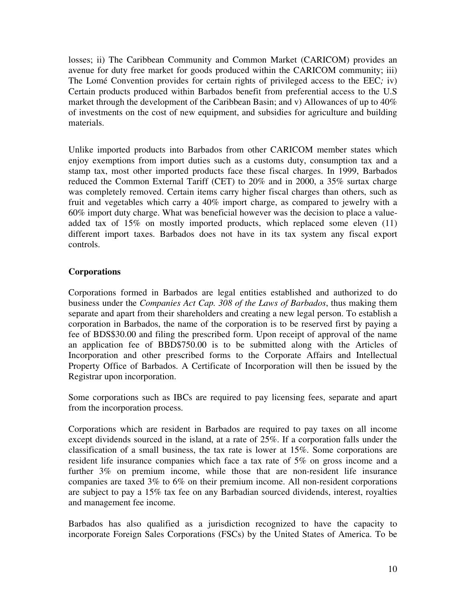losses; ii) The Caribbean Community and Common Market (CARICOM) provides an avenue for duty free market for goods produced within the CARICOM community; iii) The Lomé Convention provides for certain rights of privileged access to the EEC*;* iv) Certain products produced within Barbados benefit from preferential access to the U.S market through the development of the Caribbean Basin; and v) Allowances of up to 40% of investments on the cost of new equipment, and subsidies for agriculture and building materials.

Unlike imported products into Barbados from other CARICOM member states which enjoy exemptions from import duties such as a customs duty, consumption tax and a stamp tax, most other imported products face these fiscal charges. In 1999, Barbados reduced the Common External Tariff (CET) to 20% and in 2000, a 35% surtax charge was completely removed. Certain items carry higher fiscal charges than others, such as fruit and vegetables which carry a 40% import charge, as compared to jewelry with a 60% import duty charge. What was beneficial however was the decision to place a valueadded tax of 15% on mostly imported products, which replaced some eleven (11) different import taxes. Barbados does not have in its tax system any fiscal export controls.

# **Corporations**

Corporations formed in Barbados are legal entities established and authorized to do business under the *Companies Act Cap. 308 of the Laws of Barbados*, thus making them separate and apart from their shareholders and creating a new legal person. To establish a corporation in Barbados, the name of the corporation is to be reserved first by paying a fee of BDS\$30.00 and filing the prescribed form. Upon receipt of approval of the name an application fee of BBD\$750.00 is to be submitted along with the Articles of Incorporation and other prescribed forms to the Corporate Affairs and Intellectual Property Office of Barbados. A Certificate of Incorporation will then be issued by the Registrar upon incorporation.

Some corporations such as IBCs are required to pay licensing fees, separate and apart from the incorporation process.

Corporations which are resident in Barbados are required to pay taxes on all income except dividends sourced in the island, at a rate of 25%. If a corporation falls under the classification of a small business, the tax rate is lower at 15%. Some corporations are resident life insurance companies which face a tax rate of 5% on gross income and a further 3% on premium income, while those that are non-resident life insurance companies are taxed 3% to 6% on their premium income. All non-resident corporations are subject to pay a 15% tax fee on any Barbadian sourced dividends, interest, royalties and management fee income.

Barbados has also qualified as a jurisdiction recognized to have the capacity to incorporate Foreign Sales Corporations (FSCs) by the United States of America. To be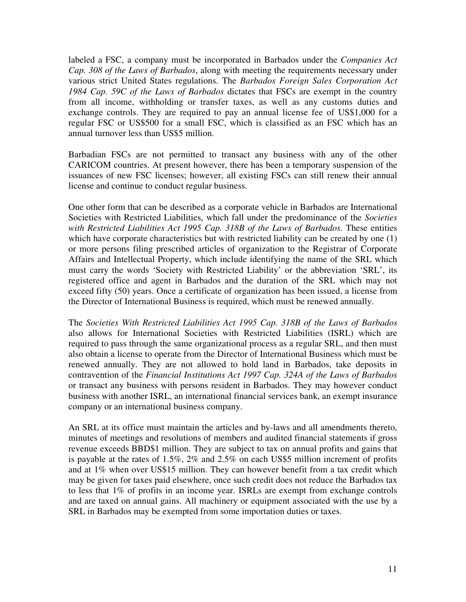labeled a FSC, a company must be incorporated in Barbados under the *Companies Act Cap. 308 of the Laws of Barbados*, along with meeting the requirements necessary under various strict United States regulations. The *Barbados Foreign Sales Corporation Act 1984 Cap. 59C of the Laws of Barbados* dictates that FSCs are exempt in the country from all income, withholding or transfer taxes, as well as any customs duties and exchange controls. They are required to pay an annual license fee of US\$1,000 for a regular FSC or US\$500 for a small FSC, which is classified as an FSC which has an annual turnover less than US\$5 million.

Barbadian FSCs are not permitted to transact any business with any of the other CARICOM countries. At present however, there has been a temporary suspension of the issuances of new FSC licenses; however, all existing FSCs can still renew their annual license and continue to conduct regular business.

One other form that can be described as a corporate vehicle in Barbados are International Societies with Restricted Liabilities, which fall under the predominance of the *Societies with Restricted Liabilities Act 1995 Cap. 318B of the Laws of Barbados*. These entities which have corporate characteristics but with restricted liability can be created by one (1) or more persons filing prescribed articles of organization to the Registrar of Corporate Affairs and Intellectual Property, which include identifying the name of the SRL which must carry the words 'Society with Restricted Liability' or the abbreviation 'SRL', its registered office and agent in Barbados and the duration of the SRL which may not exceed fifty (50) years. Once a certificate of organization has been issued, a license from the Director of International Business is required, which must be renewed annually.

The *Societies With Restricted Liabilities Act 1995 Cap. 318B of the Laws of Barbados* also allows for International Societies with Restricted Liabilities (ISRL) which are required to pass through the same organizational process as a regular SRL, and then must also obtain a license to operate from the Director of International Business which must be renewed annually. They are not allowed to hold land in Barbados, take deposits in contravention of the *Financial Institutions Act 1997 Cap. 324A of the Laws of Barbados* or transact any business with persons resident in Barbados. They may however conduct business with another ISRL, an international financial services bank, an exempt insurance company or an international business company.

An SRL at its office must maintain the articles and by-laws and all amendments thereto, minutes of meetings and resolutions of members and audited financial statements if gross revenue exceeds BBD\$1 million. They are subject to tax on annual profits and gains that is payable at the rates of 1.5%, 2% and 2.5% on each US\$5 million increment of profits and at 1% when over US\$15 million. They can however benefit from a tax credit which may be given for taxes paid elsewhere, once such credit does not reduce the Barbados tax to less that 1% of profits in an income year. ISRLs are exempt from exchange controls and are taxed on annual gains. All machinery or equipment associated with the use by a SRL in Barbados may be exempted from some importation duties or taxes.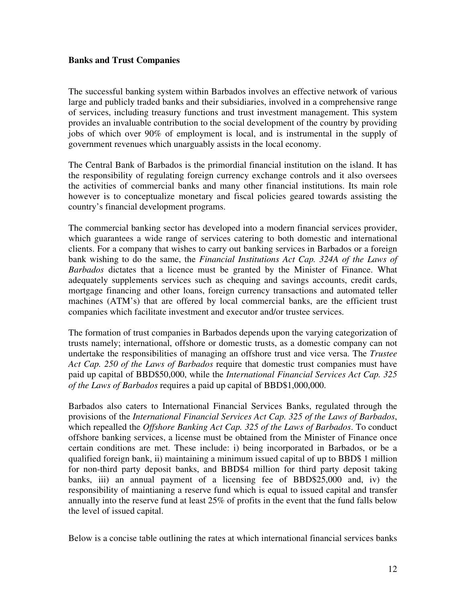#### **Banks and Trust Companies**

The successful banking system within Barbados involves an effective network of various large and publicly traded banks and their subsidiaries, involved in a comprehensive range of services, including treasury functions and trust investment management. This system provides an invaluable contribution to the social development of the country by providing jobs of which over 90% of employment is local, and is instrumental in the supply of government revenues which unarguably assists in the local economy.

The Central Bank of Barbados is the primordial financial institution on the island. It has the responsibility of regulating foreign currency exchange controls and it also oversees the activities of commercial banks and many other financial institutions. Its main role however is to conceptualize monetary and fiscal policies geared towards assisting the country's financial development programs.

The commercial banking sector has developed into a modern financial services provider, which guarantees a wide range of services catering to both domestic and international clients. For a company that wishes to carry out banking services in Barbados or a foreign bank wishing to do the same, the *Financial Institutions Act Cap. 324A of the Laws of Barbados* dictates that a licence must be granted by the Minister of Finance. What adequately supplements services such as chequing and savings accounts, credit cards, mortgage financing and other loans, foreign currency transactions and automated teller machines (ATM's) that are offered by local commercial banks, are the efficient trust companies which facilitate investment and executor and/or trustee services.

The formation of trust companies in Barbados depends upon the varying categorization of trusts namely; international, offshore or domestic trusts, as a domestic company can not undertake the responsibilities of managing an offshore trust and vice versa. The *Trustee Act Cap. 250 of the Laws of Barbados* require that domestic trust companies must have paid up capital of BBD\$50,000, while the *International Financial Services Act Cap. 325 of the Laws of Barbados* requires a paid up capital of BBD\$1,000,000.

Barbados also caters to International Financial Services Banks, regulated through the provisions of the *International Financial Services Act Cap. 325 of the Laws of Barbados*, which repealled the *Offshore Banking Act Cap. 325 of the Laws of Barbados*. To conduct offshore banking services, a license must be obtained from the Minister of Finance once certain conditions are met. These include: i) being incorporated in Barbados, or be a qualified foreign bank, ii) maintaining a minimum issued capital of up to BBD\$ 1 million for non-third party deposit banks, and BBD\$4 million for third party deposit taking banks, iii) an annual payment of a licensing fee of BBD\$25,000 and, iv) the responsibility of maintianing a reserve fund which is equal to issued capital and transfer annually into the reserve fund at least 25% of profits in the event that the fund falls below the level of issued capital.

Below is a concise table outlining the rates at which international financial services banks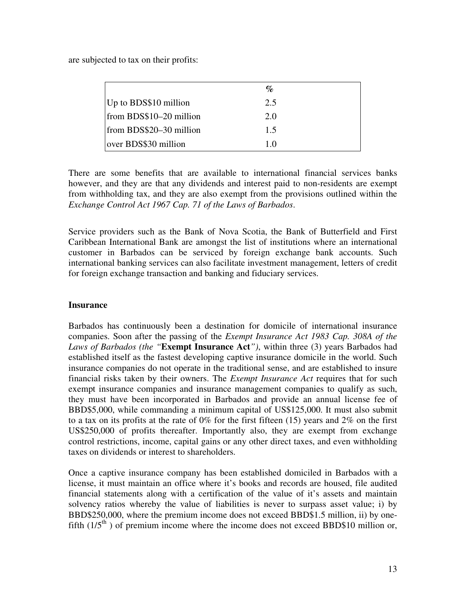are subjected to tax on their profits:

|                         | $\mathcal{O}_{\mathcal{O}}$ |  |
|-------------------------|-----------------------------|--|
| Up to BDS\$10 million   | 2.5                         |  |
| from BDS\$10-20 million | 2.0                         |  |
| from BDS\$20-30 million | 1.5                         |  |
| over BDS\$30 million    | 10                          |  |

There are some benefits that are available to international financial services banks however, and they are that any dividends and interest paid to non-residents are exempt from withholding tax, and they are also exempt from the provisions outlined within the *Exchange Control Act 1967 Cap. 71 of the Laws of Barbados*.

Service providers such as the Bank of Nova Scotia, the Bank of Butterfield and First Caribbean International Bank are amongst the list of institutions where an international customer in Barbados can be serviced by foreign exchange bank accounts. Such international banking services can also facilitate investment management, letters of credit for foreign exchange transaction and banking and fiduciary services.

### **Insurance**

Barbados has continuously been a destination for domicile of international insurance companies. Soon after the passing of the *Exempt Insurance Act 1983 Cap. 308A of the Laws of Barbados (the "***Exempt Insurance Act***")*, within three (3) years Barbados had established itself as the fastest developing captive insurance domicile in the world. Such insurance companies do not operate in the traditional sense, and are established to insure financial risks taken by their owners. The *Exempt Insurance Act* requires that for such exempt insurance companies and insurance management companies to qualify as such, they must have been incorporated in Barbados and provide an annual license fee of BBD\$5,000, while commanding a minimum capital of US\$125,000. It must also submit to a tax on its profits at the rate of 0% for the first fifteen (15) years and 2% on the first US\$250,000 of profits thereafter. Importantly also, they are exempt from exchange control restrictions, income, capital gains or any other direct taxes, and even withholding taxes on dividends or interest to shareholders.

Once a captive insurance company has been established domiciled in Barbados with a license, it must maintain an office where it's books and records are housed, file audited financial statements along with a certification of the value of it's assets and maintain solvency ratios whereby the value of liabilities is never to surpass asset value; i) by BBD\$250,000, where the premium income does not exceed BBD\$1.5 million, ii) by onefifth  $(1/5<sup>th</sup>)$  of premium income where the income does not exceed BBD\$10 million or,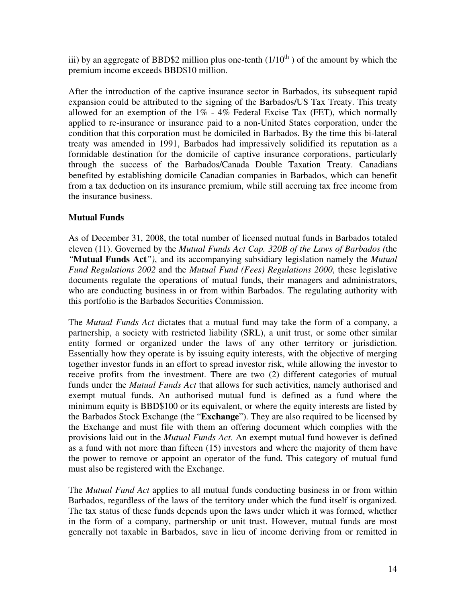iii) by an aggregate of BBD\$2 million plus one-tenth  $(1/10<sup>th</sup>)$  of the amount by which the premium income exceeds BBD\$10 million.

After the introduction of the captive insurance sector in Barbados, its subsequent rapid expansion could be attributed to the signing of the Barbados/US Tax Treaty. This treaty allowed for an exemption of the  $1\%$  - 4% Federal Excise Tax (FET), which normally applied to re-insurance or insurance paid to a non-United States corporation, under the condition that this corporation must be domiciled in Barbados. By the time this bi-lateral treaty was amended in 1991, Barbados had impressively solidified its reputation as a formidable destination for the domicile of captive insurance corporations, particularly through the success of the Barbados/Canada Double Taxation Treaty. Canadians benefited by establishing domicile Canadian companies in Barbados, which can benefit from a tax deduction on its insurance premium, while still accruing tax free income from the insurance business.

# **Mutual Funds**

As of December 31, 2008, the total number of licensed mutual funds in Barbados totaled eleven (11). Governed by the *Mutual Funds Act Cap. 320B of the Laws of Barbados (*the *"***Mutual Funds Act***")*, and its accompanying subsidiary legislation namely the *Mutual Fund Regulations 2002* and the *Mutual Fund (Fees) Regulations 2000*, these legislative documents regulate the operations of mutual funds, their managers and administrators, who are conducting business in or from within Barbados. The regulating authority with this portfolio is the Barbados Securities Commission.

The *Mutual Funds Act* dictates that a mutual fund may take the form of a company, a partnership, a society with restricted liability (SRL), a unit trust, or some other similar entity formed or organized under the laws of any other territory or jurisdiction. Essentially how they operate is by issuing equity interests, with the objective of merging together investor funds in an effort to spread investor risk, while allowing the investor to receive profits from the investment. There are two (2) different categories of mutual funds under the *Mutual Funds Act* that allows for such activities, namely authorised and exempt mutual funds. An authorised mutual fund is defined as a fund where the minimum equity is BBD\$100 or its equivalent, or where the equity interests are listed by the Barbados Stock Exchange (the "**Exchange**"). They are also required to be licensed by the Exchange and must file with them an offering document which complies with the provisions laid out in the *Mutual Funds Act*. An exempt mutual fund however is defined as a fund with not more than fifteen (15) investors and where the majority of them have the power to remove or appoint an operator of the fund. This category of mutual fund must also be registered with the Exchange.

The *Mutual Fund Act* applies to all mutual funds conducting business in or from within Barbados, regardless of the laws of the territory under which the fund itself is organized. The tax status of these funds depends upon the laws under which it was formed, whether in the form of a company, partnership or unit trust. However, mutual funds are most generally not taxable in Barbados, save in lieu of income deriving from or remitted in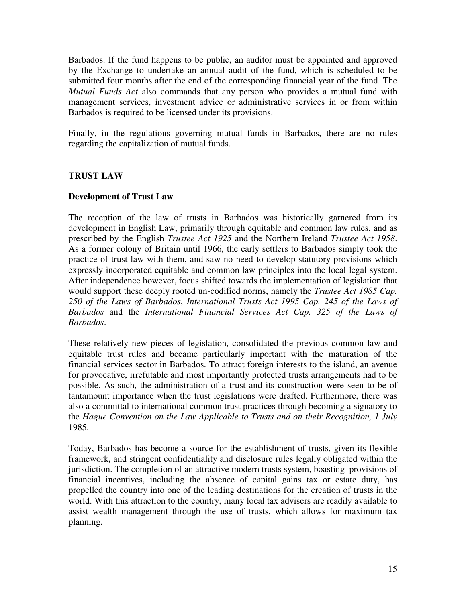Barbados. If the fund happens to be public, an auditor must be appointed and approved by the Exchange to undertake an annual audit of the fund, which is scheduled to be submitted four months after the end of the corresponding financial year of the fund. The *Mutual Funds Act* also commands that any person who provides a mutual fund with management services, investment advice or administrative services in or from within Barbados is required to be licensed under its provisions.

Finally, in the regulations governing mutual funds in Barbados, there are no rules regarding the capitalization of mutual funds.

# **TRUST LAW**

## **Development of Trust Law**

The reception of the law of trusts in Barbados was historically garnered from its development in English Law, primarily through equitable and common law rules, and as prescribed by the English *Trustee Act 1925* and the Northern Ireland *Trustee Act 1958*. As a former colony of Britain until 1966, the early settlers to Barbados simply took the practice of trust law with them, and saw no need to develop statutory provisions which expressly incorporated equitable and common law principles into the local legal system. After independence however, focus shifted towards the implementation of legislation that would support these deeply rooted un-codified norms, namely the *Trustee Act 1985 Cap. 250 of the Laws of Barbados*, *International Trusts Act 1995 Cap. 245 of the Laws of Barbados* and the *International Financial Services Act Cap. 325 of the Laws of Barbados*.

These relatively new pieces of legislation, consolidated the previous common law and equitable trust rules and became particularly important with the maturation of the financial services sector in Barbados. To attract foreign interests to the island, an avenue for provocative, irrefutable and most importantly protected trusts arrangements had to be possible. As such, the administration of a trust and its construction were seen to be of tantamount importance when the trust legislations were drafted. Furthermore, there was also a committal to international common trust practices through becoming a signatory to the *Hague Convention on the Law Applicable to Trusts and on their Recognition, 1 July*  1985.

Today, Barbados has become a source for the establishment of trusts, given its flexible framework, and stringent confidentiality and disclosure rules legally obligated within the jurisdiction. The completion of an attractive modern trusts system, boasting provisions of financial incentives, including the absence of capital gains tax or estate duty, has propelled the country into one of the leading destinations for the creation of trusts in the world. With this attraction to the country, many local tax advisers are readily available to assist wealth management through the use of trusts, which allows for maximum tax planning.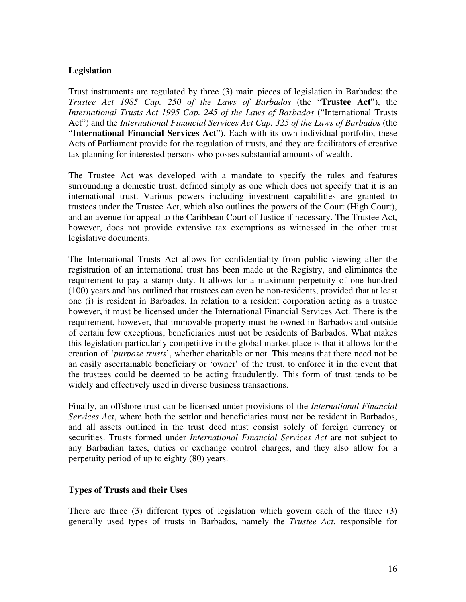# **Legislation**

Trust instruments are regulated by three (3) main pieces of legislation in Barbados: the *Trustee Act 1985 Cap. 250 of the Laws of Barbados* (the "**Trustee Act**"), the *International Trusts Act 1995 Cap. 245 of the Laws of Barbados* ("International Trusts Act") and the *International Financial Services Act Cap. 325 of the Laws of Barbados* (the "**International Financial Services Act**"). Each with its own individual portfolio, these Acts of Parliament provide for the regulation of trusts, and they are facilitators of creative tax planning for interested persons who posses substantial amounts of wealth.

The Trustee Act was developed with a mandate to specify the rules and features surrounding a domestic trust, defined simply as one which does not specify that it is an international trust. Various powers including investment capabilities are granted to trustees under the Trustee Act, which also outlines the powers of the Court (High Court), and an avenue for appeal to the Caribbean Court of Justice if necessary. The Trustee Act, however, does not provide extensive tax exemptions as witnessed in the other trust legislative documents.

The International Trusts Act allows for confidentiality from public viewing after the registration of an international trust has been made at the Registry, and eliminates the requirement to pay a stamp duty. It allows for a maximum perpetuity of one hundred (100) years and has outlined that trustees can even be non-residents, provided that at least one (i) is resident in Barbados. In relation to a resident corporation acting as a trustee however, it must be licensed under the International Financial Services Act. There is the requirement, however, that immovable property must be owned in Barbados and outside of certain few exceptions, beneficiaries must not be residents of Barbados. What makes this legislation particularly competitive in the global market place is that it allows for the creation of '*purpose trusts*', whether charitable or not. This means that there need not be an easily ascertainable beneficiary or 'owner' of the trust, to enforce it in the event that the trustees could be deemed to be acting fraudulently. This form of trust tends to be widely and effectively used in diverse business transactions.

Finally, an offshore trust can be licensed under provisions of the *International Financial Services Act*, where both the settlor and beneficiaries must not be resident in Barbados, and all assets outlined in the trust deed must consist solely of foreign currency or securities. Trusts formed under *International Financial Services Act* are not subject to any Barbadian taxes, duties or exchange control charges, and they also allow for a perpetuity period of up to eighty (80) years.

#### **Types of Trusts and their Uses**

There are three (3) different types of legislation which govern each of the three (3) generally used types of trusts in Barbados, namely the *Trustee Act*, responsible for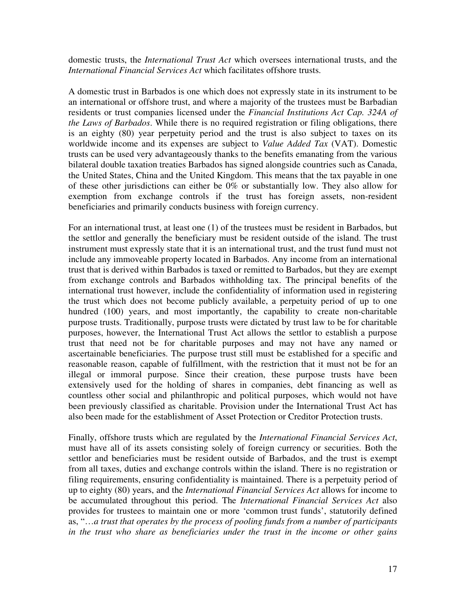domestic trusts, the *International Trust Act* which oversees international trusts, and the *International Financial Services Act* which facilitates offshore trusts.

A domestic trust in Barbados is one which does not expressly state in its instrument to be an international or offshore trust, and where a majority of the trustees must be Barbadian residents or trust companies licensed under the *Financial Institutions Act Cap. 324A of the Laws of Barbados*. While there is no required registration or filing obligations, there is an eighty (80) year perpetuity period and the trust is also subject to taxes on its worldwide income and its expenses are subject to *Value Added Tax* (VAT). Domestic trusts can be used very advantageously thanks to the benefits emanating from the various bilateral double taxation treaties Barbados has signed alongside countries such as Canada, the United States, China and the United Kingdom. This means that the tax payable in one of these other jurisdictions can either be 0% or substantially low. They also allow for exemption from exchange controls if the trust has foreign assets, non-resident beneficiaries and primarily conducts business with foreign currency.

For an international trust, at least one (1) of the trustees must be resident in Barbados, but the settlor and generally the beneficiary must be resident outside of the island. The trust instrument must expressly state that it is an international trust, and the trust fund must not include any immoveable property located in Barbados. Any income from an international trust that is derived within Barbados is taxed or remitted to Barbados, but they are exempt from exchange controls and Barbados withholding tax. The principal benefits of the international trust however, include the confidentiality of information used in registering the trust which does not become publicly available, a perpetuity period of up to one hundred (100) years, and most importantly, the capability to create non-charitable purpose trusts. Traditionally, purpose trusts were dictated by trust law to be for charitable purposes, however, the International Trust Act allows the settlor to establish a purpose trust that need not be for charitable purposes and may not have any named or ascertainable beneficiaries. The purpose trust still must be established for a specific and reasonable reason, capable of fulfillment, with the restriction that it must not be for an illegal or immoral purpose. Since their creation, these purpose trusts have been extensively used for the holding of shares in companies, debt financing as well as countless other social and philanthropic and political purposes, which would not have been previously classified as charitable. Provision under the International Trust Act has also been made for the establishment of Asset Protection or Creditor Protection trusts.

Finally, offshore trusts which are regulated by the *International Financial Services Act*, must have all of its assets consisting solely of foreign currency or securities. Both the settlor and beneficiaries must be resident outside of Barbados, and the trust is exempt from all taxes, duties and exchange controls within the island. There is no registration or filing requirements, ensuring confidentiality is maintained. There is a perpetuity period of up to eighty (80) years, and the *International Financial Services Act* allows for income to be accumulated throughout this period. The *International Financial Services Act* also provides for trustees to maintain one or more 'common trust funds', statutorily defined as, "…*a trust that operates by the process of pooling funds from a number of participants in the trust who share as beneficiaries under the trust in the income or other gains*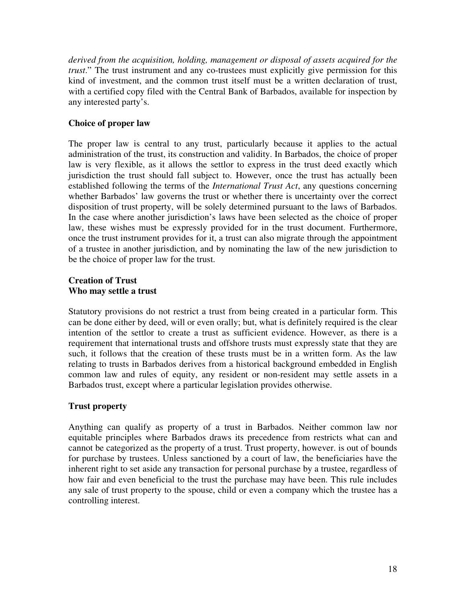*derived from the acquisition, holding, management or disposal of assets acquired for the trust*." The trust instrument and any co-trustees must explicitly give permission for this kind of investment, and the common trust itself must be a written declaration of trust, with a certified copy filed with the Central Bank of Barbados, available for inspection by any interested party's.

# **Choice of proper law**

The proper law is central to any trust, particularly because it applies to the actual administration of the trust, its construction and validity. In Barbados, the choice of proper law is very flexible, as it allows the settlor to express in the trust deed exactly which jurisdiction the trust should fall subject to. However, once the trust has actually been established following the terms of the *International Trust Act*, any questions concerning whether Barbados' law governs the trust or whether there is uncertainty over the correct disposition of trust property, will be solely determined pursuant to the laws of Barbados. In the case where another jurisdiction's laws have been selected as the choice of proper law, these wishes must be expressly provided for in the trust document. Furthermore, once the trust instrument provides for it, a trust can also migrate through the appointment of a trustee in another jurisdiction, and by nominating the law of the new jurisdiction to be the choice of proper law for the trust.

## **Creation of Trust Who may settle a trust**

Statutory provisions do not restrict a trust from being created in a particular form. This can be done either by deed, will or even orally; but, what is definitely required is the clear intention of the settlor to create a trust as sufficient evidence. However, as there is a requirement that international trusts and offshore trusts must expressly state that they are such, it follows that the creation of these trusts must be in a written form. As the law relating to trusts in Barbados derives from a historical background embedded in English common law and rules of equity, any resident or non-resident may settle assets in a Barbados trust, except where a particular legislation provides otherwise.

# **Trust property**

Anything can qualify as property of a trust in Barbados. Neither common law nor equitable principles where Barbados draws its precedence from restricts what can and cannot be categorized as the property of a trust. Trust property, however. is out of bounds for purchase by trustees. Unless sanctioned by a court of law, the beneficiaries have the inherent right to set aside any transaction for personal purchase by a trustee, regardless of how fair and even beneficial to the trust the purchase may have been. This rule includes any sale of trust property to the spouse, child or even a company which the trustee has a controlling interest.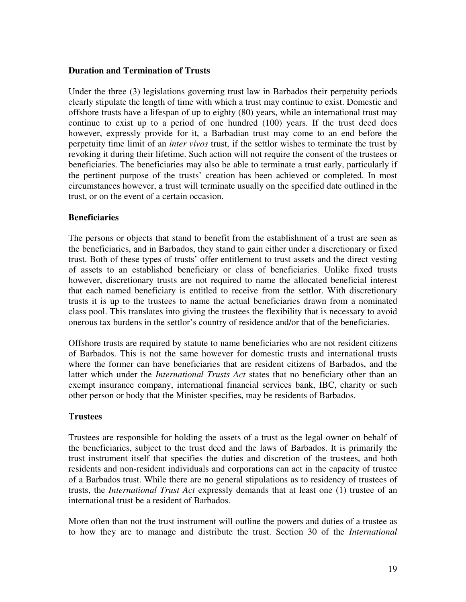### **Duration and Termination of Trusts**

Under the three (3) legislations governing trust law in Barbados their perpetuity periods clearly stipulate the length of time with which a trust may continue to exist. Domestic and offshore trusts have a lifespan of up to eighty (80) years, while an international trust may continue to exist up to a period of one hundred (100) years. If the trust deed does however, expressly provide for it, a Barbadian trust may come to an end before the perpetuity time limit of an *inter vivos* trust, if the settlor wishes to terminate the trust by revoking it during their lifetime. Such action will not require the consent of the trustees or beneficiaries. The beneficiaries may also be able to terminate a trust early, particularly if the pertinent purpose of the trusts' creation has been achieved or completed. In most circumstances however, a trust will terminate usually on the specified date outlined in the trust, or on the event of a certain occasion.

## **Beneficiaries**

The persons or objects that stand to benefit from the establishment of a trust are seen as the beneficiaries, and in Barbados, they stand to gain either under a discretionary or fixed trust. Both of these types of trusts' offer entitlement to trust assets and the direct vesting of assets to an established beneficiary or class of beneficiaries. Unlike fixed trusts however, discretionary trusts are not required to name the allocated beneficial interest that each named beneficiary is entitled to receive from the settlor. With discretionary trusts it is up to the trustees to name the actual beneficiaries drawn from a nominated class pool. This translates into giving the trustees the flexibility that is necessary to avoid onerous tax burdens in the settlor's country of residence and/or that of the beneficiaries.

Offshore trusts are required by statute to name beneficiaries who are not resident citizens of Barbados. This is not the same however for domestic trusts and international trusts where the former can have beneficiaries that are resident citizens of Barbados, and the latter which under the *International Trusts Act* states that no beneficiary other than an exempt insurance company, international financial services bank, IBC, charity or such other person or body that the Minister specifies, may be residents of Barbados.

# **Trustees**

Trustees are responsible for holding the assets of a trust as the legal owner on behalf of the beneficiaries, subject to the trust deed and the laws of Barbados. It is primarily the trust instrument itself that specifies the duties and discretion of the trustees, and both residents and non-resident individuals and corporations can act in the capacity of trustee of a Barbados trust. While there are no general stipulations as to residency of trustees of trusts, the *International Trust Act* expressly demands that at least one (1) trustee of an international trust be a resident of Barbados.

More often than not the trust instrument will outline the powers and duties of a trustee as to how they are to manage and distribute the trust. Section 30 of the *International*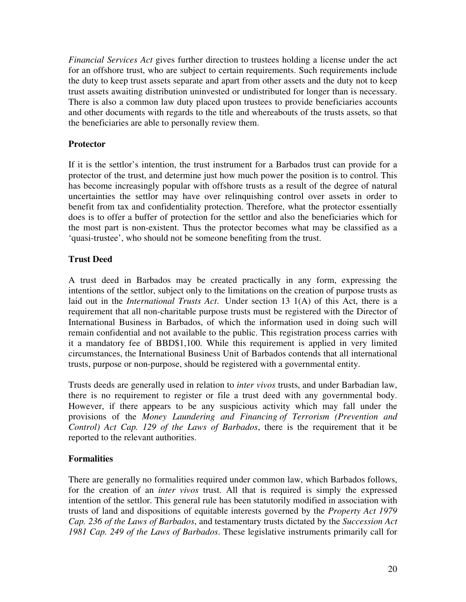*Financial Services Act* gives further direction to trustees holding a license under the act for an offshore trust, who are subject to certain requirements. Such requirements include the duty to keep trust assets separate and apart from other assets and the duty not to keep trust assets awaiting distribution uninvested or undistributed for longer than is necessary. There is also a common law duty placed upon trustees to provide beneficiaries accounts and other documents with regards to the title and whereabouts of the trusts assets, so that the beneficiaries are able to personally review them.

# **Protector**

If it is the settlor's intention, the trust instrument for a Barbados trust can provide for a protector of the trust, and determine just how much power the position is to control. This has become increasingly popular with offshore trusts as a result of the degree of natural uncertainties the settlor may have over relinquishing control over assets in order to benefit from tax and confidentiality protection. Therefore, what the protector essentially does is to offer a buffer of protection for the settlor and also the beneficiaries which for the most part is non-existent. Thus the protector becomes what may be classified as a 'quasi-trustee', who should not be someone benefiting from the trust.

# **Trust Deed**

A trust deed in Barbados may be created practically in any form, expressing the intentions of the settlor, subject only to the limitations on the creation of purpose trusts as laid out in the *International Trusts Act*. Under section 13 1(A) of this Act, there is a requirement that all non-charitable purpose trusts must be registered with the Director of International Business in Barbados, of which the information used in doing such will remain confidential and not available to the public. This registration process carries with it a mandatory fee of BBD\$1,100. While this requirement is applied in very limited circumstances, the International Business Unit of Barbados contends that all international trusts, purpose or non-purpose, should be registered with a governmental entity.

Trusts deeds are generally used in relation to *inter vivos* trusts, and under Barbadian law, there is no requirement to register or file a trust deed with any governmental body. However, if there appears to be any suspicious activity which may fall under the provisions of the *Money Laundering and Financing of Terrorism (Prevention and Control) Act Cap. 129 of the Laws of Barbados*, there is the requirement that it be reported to the relevant authorities.

# **Formalities**

There are generally no formalities required under common law, which Barbados follows, for the creation of an *inter vivos* trust. All that is required is simply the expressed intention of the settlor. This general rule has been statutorily modified in association with trusts of land and dispositions of equitable interests governed by the *Property Act 1979 Cap. 236 of the Laws of Barbados*, and testamentary trusts dictated by the *Succession Act 1981 Cap. 249 of the Laws of Barbados*. These legislative instruments primarily call for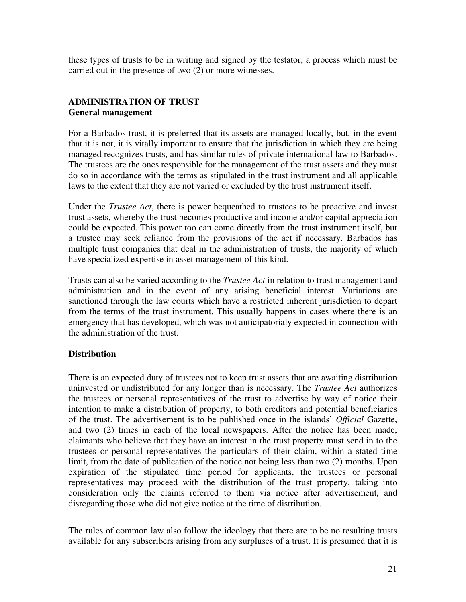these types of trusts to be in writing and signed by the testator, a process which must be carried out in the presence of two (2) or more witnesses.

# **ADMINISTRATION OF TRUST General management**

For a Barbados trust, it is preferred that its assets are managed locally, but, in the event that it is not, it is vitally important to ensure that the jurisdiction in which they are being managed recognizes trusts, and has similar rules of private international law to Barbados. The trustees are the ones responsible for the management of the trust assets and they must do so in accordance with the terms as stipulated in the trust instrument and all applicable laws to the extent that they are not varied or excluded by the trust instrument itself.

Under the *Trustee Act*, there is power bequeathed to trustees to be proactive and invest trust assets, whereby the trust becomes productive and income and/or capital appreciation could be expected. This power too can come directly from the trust instrument itself, but a trustee may seek reliance from the provisions of the act if necessary. Barbados has multiple trust companies that deal in the administration of trusts, the majority of which have specialized expertise in asset management of this kind.

Trusts can also be varied according to the *Trustee Act* in relation to trust management and administration and in the event of any arising beneficial interest. Variations are sanctioned through the law courts which have a restricted inherent jurisdiction to depart from the terms of the trust instrument. This usually happens in cases where there is an emergency that has developed, which was not anticipatorialy expected in connection with the administration of the trust.

# **Distribution**

There is an expected duty of trustees not to keep trust assets that are awaiting distribution uninvested or undistributed for any longer than is necessary. The *Trustee Act* authorizes the trustees or personal representatives of the trust to advertise by way of notice their intention to make a distribution of property, to both creditors and potential beneficiaries of the trust. The advertisement is to be published once in the islands' *Official* Gazette, and two (2) times in each of the local newspapers. After the notice has been made, claimants who believe that they have an interest in the trust property must send in to the trustees or personal representatives the particulars of their claim, within a stated time limit, from the date of publication of the notice not being less than two (2) months. Upon expiration of the stipulated time period for applicants, the trustees or personal representatives may proceed with the distribution of the trust property, taking into consideration only the claims referred to them via notice after advertisement, and disregarding those who did not give notice at the time of distribution.

The rules of common law also follow the ideology that there are to be no resulting trusts available for any subscribers arising from any surpluses of a trust. It is presumed that it is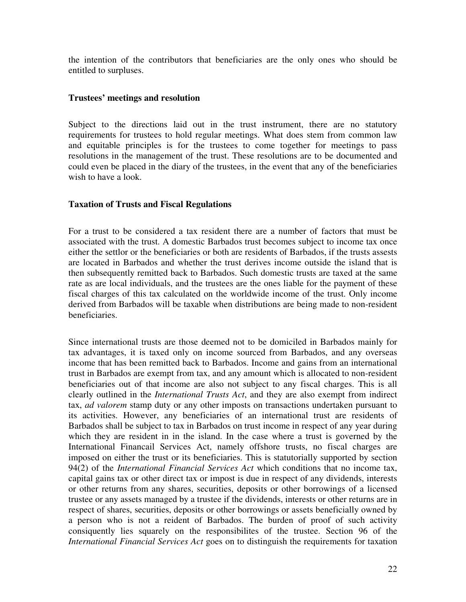the intention of the contributors that beneficiaries are the only ones who should be entitled to surpluses.

#### **Trustees' meetings and resolution**

Subject to the directions laid out in the trust instrument, there are no statutory requirements for trustees to hold regular meetings. What does stem from common law and equitable principles is for the trustees to come together for meetings to pass resolutions in the management of the trust. These resolutions are to be documented and could even be placed in the diary of the trustees, in the event that any of the beneficiaries wish to have a look.

#### **Taxation of Trusts and Fiscal Regulations**

For a trust to be considered a tax resident there are a number of factors that must be associated with the trust. A domestic Barbados trust becomes subject to income tax once either the settlor or the beneficiaries or both are residents of Barbados, if the trusts assests are located in Barbados and whether the trust derives income outside the island that is then subsequently remitted back to Barbados. Such domestic trusts are taxed at the same rate as are local individuals, and the trustees are the ones liable for the payment of these fiscal charges of this tax calculated on the worldwide income of the trust. Only income derived from Barbados will be taxable when distributions are being made to non-resident beneficiaries.

Since international trusts are those deemed not to be domiciled in Barbados mainly for tax advantages, it is taxed only on income sourced from Barbados, and any overseas income that has been remitted back to Barbados. Income and gains from an international trust in Barbados are exempt from tax, and any amount which is allocated to non-resident beneficiaries out of that income are also not subject to any fiscal charges. This is all clearly outlined in the *International Trusts Act*, and they are also exempt from indirect tax, *ad valorem* stamp duty or any other imposts on transactions undertaken pursuant to its activities. However, any beneficiaries of an international trust are residents of Barbados shall be subject to tax in Barbados on trust income in respect of any year during which they are resident in in the island. In the case where a trust is governed by the International Financail Services Act, namely offshore trusts, no fiscal charges are imposed on either the trust or its beneficiaries. This is statutorially supported by section 94(2) of the *International Financial Services Act* which conditions that no income tax, capital gains tax or other direct tax or impost is due in respect of any dividends, interests or other returns from any shares, securities, deposits or other borrowings of a licensed trustee or any assets managed by a trustee if the dividends, interests or other returns are in respect of shares, securities, deposits or other borrowings or assets beneficially owned by a person who is not a reident of Barbados. The burden of proof of such activity consiquently lies squarely on the responsibilites of the trustee. Section 96 of the *International Financial Services Act* goes on to distinguish the requirements for taxation